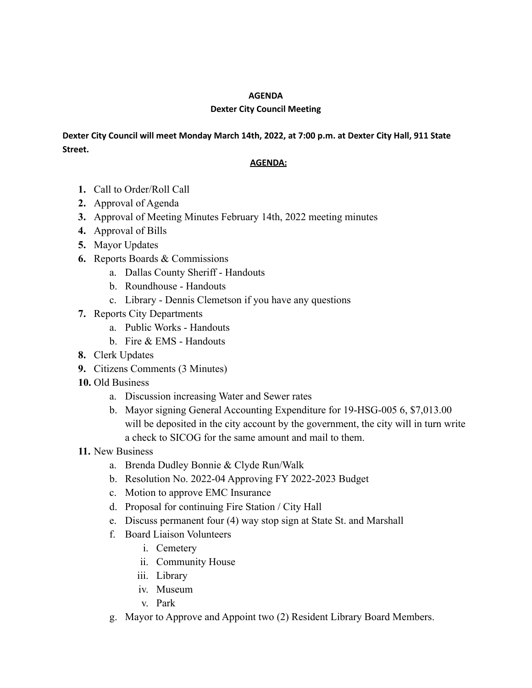## **AGENDA**

## **Dexter City Council Meeting**

## **Dexter City Council will meet Monday March 14th, 2022, at 7:00 p.m. at Dexter City Hall, 911 State Street.**

## **AGENDA:**

- **1.** Call to Order/Roll Call
- **2.** Approval of Agenda
- **3.** Approval of Meeting Minutes February 14th, 2022 meeting minutes
- **4.** Approval of Bills
- **5.** Mayor Updates
- **6.** Reports Boards & Commissions
	- a. Dallas County Sheriff Handouts
	- b. Roundhouse Handouts
	- c. Library Dennis Clemetson if you have any questions
- **7.** Reports City Departments
	- a. Public Works Handouts
	- b. Fire & EMS Handouts
- **8.** Clerk Updates
- **9.** Citizens Comments (3 Minutes)
- **10.** Old Business
	- a. Discussion increasing Water and Sewer rates
	- b. Mayor signing General Accounting Expenditure for 19-HSG-005 6, \$7,013.00 will be deposited in the city account by the government, the city will in turn write a check to SICOG for the same amount and mail to them.
- **11.** New Business
	- a. Brenda Dudley Bonnie & Clyde Run/Walk
	- b. Resolution No. 2022-04 Approving FY 2022-2023 Budget
	- c. Motion to approve EMC Insurance
	- d. Proposal for continuing Fire Station / City Hall
	- e. Discuss permanent four (4) way stop sign at State St. and Marshall
	- f. Board Liaison Volunteers
		- i. Cemetery
		- ii. Community House
		- iii. Library
		- iv. Museum
		- v. Park
	- g. Mayor to Approve and Appoint two (2) Resident Library Board Members.